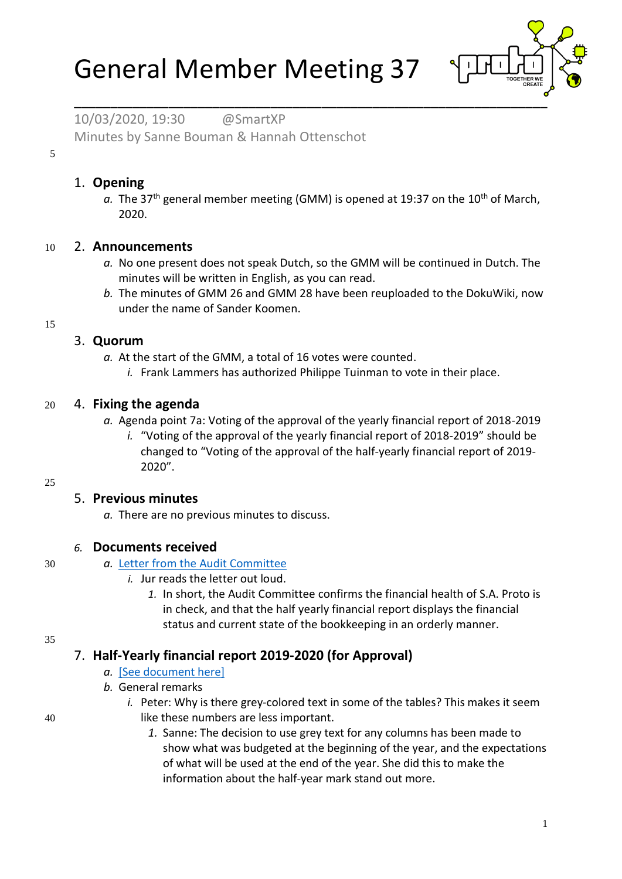# General Member Meeting 37



10/03/2020, 19:30 @SmartXP Minutes by Sanne Bouman & Hannah Ottenschot

5

#### 1. **Opening**

a. The 37<sup>th</sup> general member meeting (GMM) is opened at 19:37 on the 10<sup>th</sup> of March, 2020.

#### 10 2. **Announcements**

- *a.* No one present does not speak Dutch, so the GMM will be continued in Dutch. The minutes will be written in English, as you can read.
- *b.* The minutes of GMM 26 and GMM 28 have been reuploaded to the DokuWiki, now under the name of Sander Koomen.

15

# 3. **Quorum**

- *a.* At the start of the GMM, a total of 16 votes were counted.
	- *i.* Frank Lammers has authorized Philippe Tuinman to vote in their place.

## 20 4. **Fixing the agenda**

- *a.* Agenda point 7a: Voting of the approval of the yearly financial report of 2018-2019
	- *i.* "Voting of the approval of the yearly financial report of 2018-2019" should be changed to "Voting of the approval of the half-yearly financial report of 2019- 2020".

#### 25

## 5. **Previous minutes**

*a.* There are no previous minutes to discuss.

## *6.* **Documents received**

#### 30 *a.* [Letter from the Audit Committee](https://wiki.proto.utwente.nl/_media/proto/gmmdocs/audit_letter.pdf)

- *i.* Jur reads the letter out loud.
	- *1.* In short, the Audit Committee confirms the financial health of S.A. Proto is in check, and that the half yearly financial report displays the financial status and current state of the bookkeeping in an orderly manner.

35

# 7. **Half-Yearly financial report 2019-2020 (for Approval)**

#### *a.* [\[See document here\]](https://wiki.proto.utwente.nl/_media/proto/gmmdocs/half_yearly_financial_report_2019_2020.pdf)

- *b.* General remarks
- *i.* Peter: Why is there grey-colored text in some of the tables? This makes it seem 40 like these numbers are less important.
	- *1.* Sanne: The decision to use grey text for any columns has been made to show what was budgeted at the beginning of the year, and the expectations of what will be used at the end of the year. She did this to make the information about the half-year mark stand out more.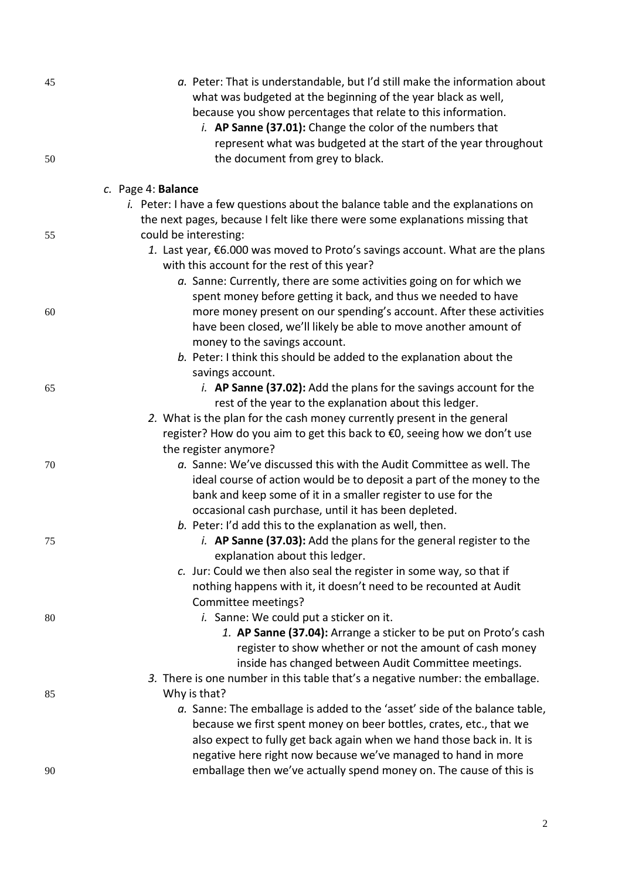| 45 | a. Peter: That is understandable, but I'd still make the information about<br>what was budgeted at the beginning of the year black as well,<br>because you show percentages that relate to this information.<br><i>i.</i> AP Sanne (37.01): Change the color of the numbers that<br>represent what was budgeted at the start of the year throughout |
|----|-----------------------------------------------------------------------------------------------------------------------------------------------------------------------------------------------------------------------------------------------------------------------------------------------------------------------------------------------------|
| 50 | the document from grey to black.                                                                                                                                                                                                                                                                                                                    |
|    | c. Page 4: Balance                                                                                                                                                                                                                                                                                                                                  |
|    | <i>i.</i> Peter: I have a few questions about the balance table and the explanations on                                                                                                                                                                                                                                                             |
|    | the next pages, because I felt like there were some explanations missing that                                                                                                                                                                                                                                                                       |
| 55 | could be interesting:<br>1. Last year, €6.000 was moved to Proto's savings account. What are the plans                                                                                                                                                                                                                                              |
|    | with this account for the rest of this year?                                                                                                                                                                                                                                                                                                        |
|    | a. Sanne: Currently, there are some activities going on for which we                                                                                                                                                                                                                                                                                |
|    | spent money before getting it back, and thus we needed to have                                                                                                                                                                                                                                                                                      |
| 60 | more money present on our spending's account. After these activities                                                                                                                                                                                                                                                                                |
|    | have been closed, we'll likely be able to move another amount of                                                                                                                                                                                                                                                                                    |
|    | money to the savings account.                                                                                                                                                                                                                                                                                                                       |
|    | b. Peter: I think this should be added to the explanation about the                                                                                                                                                                                                                                                                                 |
|    | savings account.                                                                                                                                                                                                                                                                                                                                    |
| 65 | <i>i.</i> AP Sanne (37.02): Add the plans for the savings account for the                                                                                                                                                                                                                                                                           |
|    | rest of the year to the explanation about this ledger.                                                                                                                                                                                                                                                                                              |
|    | 2. What is the plan for the cash money currently present in the general<br>register? How do you aim to get this back to €0, seeing how we don't use                                                                                                                                                                                                 |
|    | the register anymore?                                                                                                                                                                                                                                                                                                                               |
| 70 | a. Sanne: We've discussed this with the Audit Committee as well. The                                                                                                                                                                                                                                                                                |
|    | ideal course of action would be to deposit a part of the money to the                                                                                                                                                                                                                                                                               |
|    | bank and keep some of it in a smaller register to use for the                                                                                                                                                                                                                                                                                       |
|    | occasional cash purchase, until it has been depleted.                                                                                                                                                                                                                                                                                               |
|    | b. Peter: I'd add this to the explanation as well, then.                                                                                                                                                                                                                                                                                            |
| 75 | <i>i.</i> AP Sanne (37.03): Add the plans for the general register to the<br>explanation about this ledger.                                                                                                                                                                                                                                         |
|    | c. Jur: Could we then also seal the register in some way, so that if                                                                                                                                                                                                                                                                                |
|    | nothing happens with it, it doesn't need to be recounted at Audit                                                                                                                                                                                                                                                                                   |
|    | Committee meetings?                                                                                                                                                                                                                                                                                                                                 |
| 80 | <i>i.</i> Sanne: We could put a sticker on it.                                                                                                                                                                                                                                                                                                      |
|    | 1. AP Sanne (37.04): Arrange a sticker to be put on Proto's cash                                                                                                                                                                                                                                                                                    |
|    | register to show whether or not the amount of cash money                                                                                                                                                                                                                                                                                            |
|    | inside has changed between Audit Committee meetings.                                                                                                                                                                                                                                                                                                |
|    | 3. There is one number in this table that's a negative number: the emballage.                                                                                                                                                                                                                                                                       |
| 85 | Why is that?<br>a. Sanne: The emballage is added to the 'asset' side of the balance table,                                                                                                                                                                                                                                                          |
|    | because we first spent money on beer bottles, crates, etc., that we                                                                                                                                                                                                                                                                                 |
|    | also expect to fully get back again when we hand those back in. It is                                                                                                                                                                                                                                                                               |
|    | negative here right now because we've managed to hand in more                                                                                                                                                                                                                                                                                       |
| 90 | emballage then we've actually spend money on. The cause of this is                                                                                                                                                                                                                                                                                  |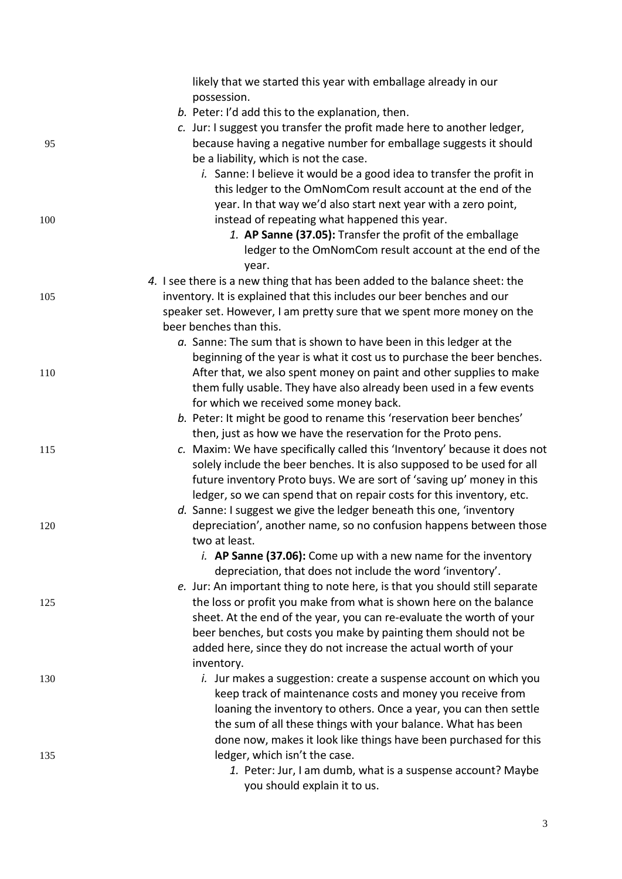|     | likely that we started this year with emballage already in our                                                                          |
|-----|-----------------------------------------------------------------------------------------------------------------------------------------|
|     | possession.<br>b. Peter: I'd add this to the explanation, then.                                                                         |
|     | c. Jur: I suggest you transfer the profit made here to another ledger,                                                                  |
| 95  | because having a negative number for emballage suggests it should                                                                       |
|     | be a liability, which is not the case.                                                                                                  |
|     | i. Sanne: I believe it would be a good idea to transfer the profit in                                                                   |
|     | this ledger to the OmNomCom result account at the end of the                                                                            |
|     | year. In that way we'd also start next year with a zero point,                                                                          |
| 100 | instead of repeating what happened this year.                                                                                           |
|     | 1. AP Sanne (37.05): Transfer the profit of the emballage                                                                               |
|     | ledger to the OmNomCom result account at the end of the<br>year.                                                                        |
|     | 4. I see there is a new thing that has been added to the balance sheet: the                                                             |
| 105 | inventory. It is explained that this includes our beer benches and our                                                                  |
|     | speaker set. However, I am pretty sure that we spent more money on the                                                                  |
|     | beer benches than this.                                                                                                                 |
|     | a. Sanne: The sum that is shown to have been in this ledger at the                                                                      |
|     | beginning of the year is what it cost us to purchase the beer benches.                                                                  |
| 110 | After that, we also spent money on paint and other supplies to make                                                                     |
|     | them fully usable. They have also already been used in a few events                                                                     |
|     | for which we received some money back.                                                                                                  |
|     | b. Peter: It might be good to rename this 'reservation beer benches'                                                                    |
|     | then, just as how we have the reservation for the Proto pens.                                                                           |
| 115 | c. Maxim: We have specifically called this 'Inventory' because it does not                                                              |
|     | solely include the beer benches. It is also supposed to be used for all                                                                 |
|     | future inventory Proto buys. We are sort of 'saving up' money in this                                                                   |
|     | ledger, so we can spend that on repair costs for this inventory, etc.                                                                   |
|     | d. Sanne: I suggest we give the ledger beneath this one, 'inventory                                                                     |
| 120 | depreciation', another name, so no confusion happens between those                                                                      |
|     | two at least.                                                                                                                           |
|     | i. AP Sanne $(37.06)$ : Come up with a new name for the inventory                                                                       |
|     | depreciation, that does not include the word 'inventory'.                                                                               |
|     | e. Jur: An important thing to note here, is that you should still separate                                                              |
| 125 | the loss or profit you make from what is shown here on the balance                                                                      |
|     | sheet. At the end of the year, you can re-evaluate the worth of your<br>beer benches, but costs you make by painting them should not be |
|     | added here, since they do not increase the actual worth of your                                                                         |
|     | inventory.                                                                                                                              |
| 130 | <i>i.</i> Jur makes a suggestion: create a suspense account on which you                                                                |
|     | keep track of maintenance costs and money you receive from                                                                              |
|     | loaning the inventory to others. Once a year, you can then settle                                                                       |
|     | the sum of all these things with your balance. What has been                                                                            |
|     | done now, makes it look like things have been purchased for this                                                                        |
| 135 | ledger, which isn't the case.                                                                                                           |
|     | 1. Peter: Jur, I am dumb, what is a suspense account? Maybe                                                                             |
|     | you should explain it to us.                                                                                                            |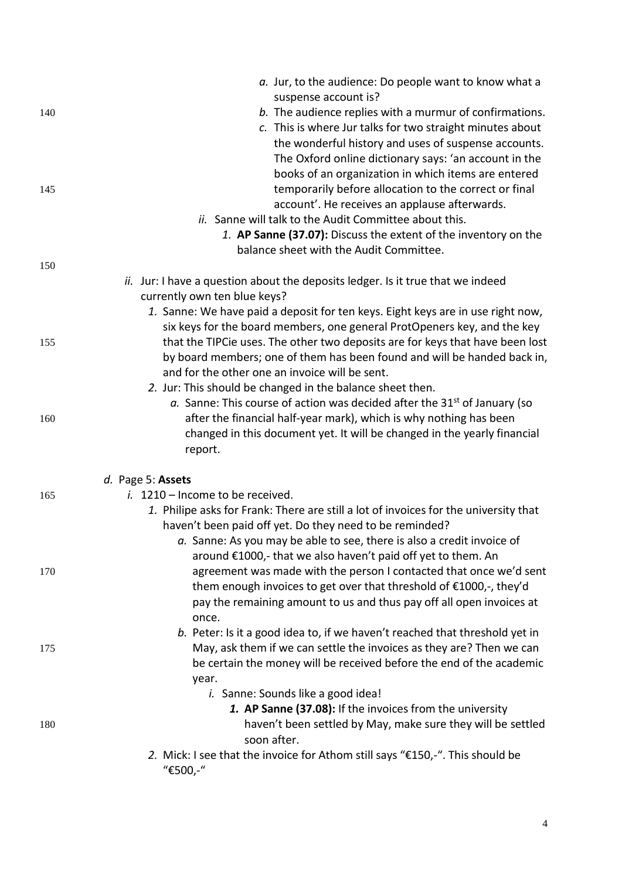|     | a. Jur, to the audience: Do people want to know what a                               |
|-----|--------------------------------------------------------------------------------------|
|     | suspense account is?                                                                 |
| 140 | b. The audience replies with a murmur of confirmations.                              |
|     | c. This is where Jur talks for two straight minutes about                            |
|     | the wonderful history and uses of suspense accounts.                                 |
|     | The Oxford online dictionary says: 'an account in the                                |
|     | books of an organization in which items are entered                                  |
| 145 | temporarily before allocation to the correct or final                                |
|     | account'. He receives an applause afterwards.                                        |
|     | ii. Sanne will talk to the Audit Committee about this.                               |
|     | 1. AP Sanne (37.07): Discuss the extent of the inventory on the                      |
|     | balance sheet with the Audit Committee.                                              |
| 150 |                                                                                      |
|     | ii. Jur: I have a question about the deposits ledger. Is it true that we indeed      |
|     | currently own ten blue keys?                                                         |
|     | 1. Sanne: We have paid a deposit for ten keys. Eight keys are in use right now,      |
|     | six keys for the board members, one general ProtOpeners key, and the key             |
| 155 | that the TIPCie uses. The other two deposits are for keys that have been lost        |
|     | by board members; one of them has been found and will be handed back in,             |
|     | and for the other one an invoice will be sent.                                       |
|     | 2. Jur: This should be changed in the balance sheet then.                            |
|     | a. Sanne: This course of action was decided after the $31st$ of January (so          |
| 160 | after the financial half-year mark), which is why nothing has been                   |
|     | changed in this document yet. It will be changed in the yearly financial             |
|     | report.                                                                              |
|     | d. Page 5: Assets                                                                    |
| 165 | $i.$ 1210 – Income to be received.                                                   |
|     | 1. Philipe asks for Frank: There are still a lot of invoices for the university that |
|     | haven't been paid off yet. Do they need to be reminded?                              |
|     | a. Sanne: As you may be able to see, there is also a credit invoice of               |
|     | around €1000,- that we also haven't paid off yet to them. An                         |
| 170 | agreement was made with the person I contacted that once we'd sent                   |
|     | them enough invoices to get over that threshold of €1000,-, they'd                   |
|     | pay the remaining amount to us and thus pay off all open invoices at                 |
|     | once.                                                                                |
|     | b. Peter: Is it a good idea to, if we haven't reached that threshold yet in          |
| 175 | May, ask them if we can settle the invoices as they are? Then we can                 |
|     | be certain the money will be received before the end of the academic                 |
|     | year.                                                                                |
|     | i. Sanne: Sounds like a good idea!                                                   |
|     | 1. AP Sanne (37.08): If the invoices from the university                             |
| 180 | haven't been settled by May, make sure they will be settled                          |
|     | soon after.                                                                          |
|     | 2. Mick: I see that the invoice for Athom still says "€150,-". This should be        |
|     | "€500,-"                                                                             |
|     |                                                                                      |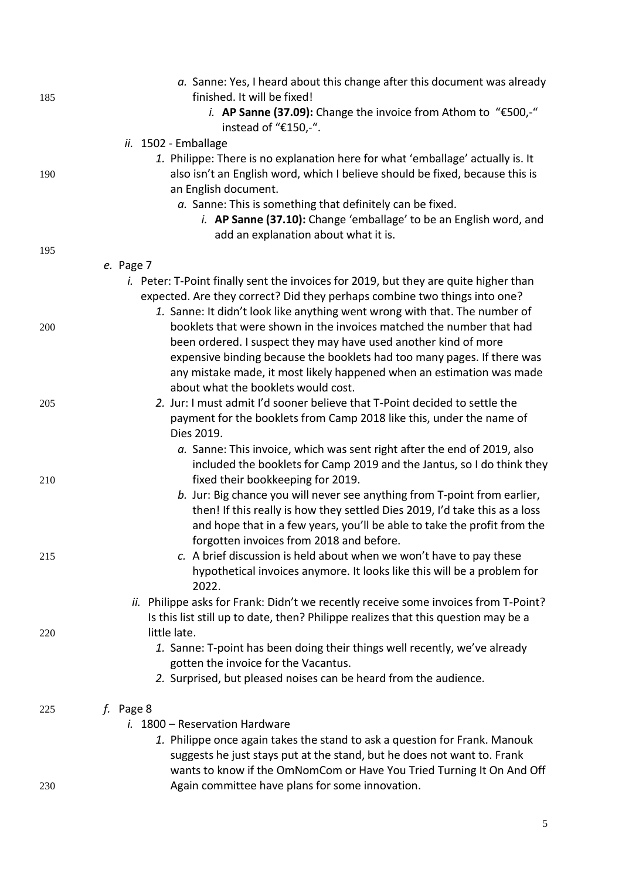|     | a. Sanne: Yes, I heard about this change after this document was already                    |
|-----|---------------------------------------------------------------------------------------------|
| 185 | finished. It will be fixed!                                                                 |
|     | <i>i.</i> AP Sanne (37.09): Change the invoice from Athom to "€500,-"                       |
|     | instead of "€150,-".                                                                        |
|     | ii. 1502 - Emballage                                                                        |
|     | 1. Philippe: There is no explanation here for what 'emballage' actually is. It              |
| 190 | also isn't an English word, which I believe should be fixed, because this is                |
|     | an English document.                                                                        |
|     | a. Sanne: This is something that definitely can be fixed.                                   |
|     | <i>i.</i> AP Sanne (37.10): Change 'emballage' to be an English word, and                   |
|     | add an explanation about what it is.                                                        |
| 195 |                                                                                             |
|     | e. Page 7                                                                                   |
|     | <i>i.</i> Peter: T-Point finally sent the invoices for 2019, but they are quite higher than |
|     | expected. Are they correct? Did they perhaps combine two things into one?                   |
|     | 1. Sanne: It didn't look like anything went wrong with that. The number of                  |
| 200 | booklets that were shown in the invoices matched the number that had                        |
|     | been ordered. I suspect they may have used another kind of more                             |
|     | expensive binding because the booklets had too many pages. If there was                     |
|     | any mistake made, it most likely happened when an estimation was made                       |
|     | about what the booklets would cost.                                                         |
| 205 | 2. Jur: I must admit I'd sooner believe that T-Point decided to settle the                  |
|     | payment for the booklets from Camp 2018 like this, under the name of                        |
|     | Dies 2019.                                                                                  |
|     | a. Sanne: This invoice, which was sent right after the end of 2019, also                    |
|     | included the booklets for Camp 2019 and the Jantus, so I do think they                      |
|     | fixed their bookkeeping for 2019.                                                           |
| 210 | b. Jur: Big chance you will never see anything from T-point from earlier,                   |
|     | then! If this really is how they settled Dies 2019, I'd take this as a loss                 |
|     | and hope that in a few years, you'll be able to take the profit from the                    |
|     |                                                                                             |
|     | forgotten invoices from 2018 and before.                                                    |
| 215 | c. A brief discussion is held about when we won't have to pay these                         |
|     | hypothetical invoices anymore. It looks like this will be a problem for                     |
|     | 2022.                                                                                       |
|     | ii. Philippe asks for Frank: Didn't we recently receive some invoices from T-Point?         |
|     | Is this list still up to date, then? Philippe realizes that this question may be a          |
| 220 | little late.                                                                                |
|     | 1. Sanne: T-point has been doing their things well recently, we've already                  |
|     | gotten the invoice for the Vacantus.                                                        |
|     | 2. Surprised, but pleased noises can be heard from the audience.                            |
|     |                                                                                             |
| 225 | f. Page 8                                                                                   |
|     | i. 1800 - Reservation Hardware                                                              |
|     | 1. Philippe once again takes the stand to ask a question for Frank. Manouk                  |
|     | suggests he just stays put at the stand, but he does not want to. Frank                     |
|     | wants to know if the OmNomCom or Have You Tried Turning It On And Off                       |
| 230 | Again committee have plans for some innovation.                                             |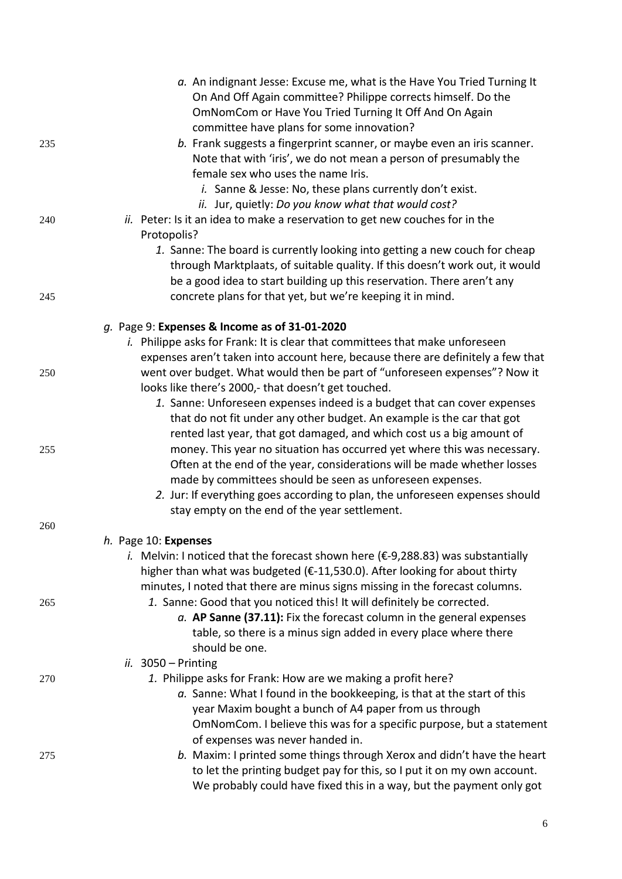|     | a. An indignant Jesse: Excuse me, what is the Have You Tried Turning It                     |
|-----|---------------------------------------------------------------------------------------------|
|     | On And Off Again committee? Philippe corrects himself. Do the                               |
|     | OmNomCom or Have You Tried Turning It Off And On Again                                      |
|     | committee have plans for some innovation?                                                   |
| 235 | b. Frank suggests a fingerprint scanner, or maybe even an iris scanner.                     |
|     | Note that with 'iris', we do not mean a person of presumably the                            |
|     | female sex who uses the name Iris.                                                          |
|     | i. Sanne & Jesse: No, these plans currently don't exist.                                    |
|     | ii. Jur, quietly: Do you know what that would cost?                                         |
| 240 | ii. Peter: Is it an idea to make a reservation to get new couches for in the                |
|     | Protopolis?                                                                                 |
|     | 1. Sanne: The board is currently looking into getting a new couch for cheap                 |
|     | through Marktplaats, of suitable quality. If this doesn't work out, it would                |
|     | be a good idea to start building up this reservation. There aren't any                      |
|     |                                                                                             |
| 245 | concrete plans for that yet, but we're keeping it in mind.                                  |
|     | g. Page 9: Expenses & Income as of 31-01-2020                                               |
|     | <i>i.</i> Philippe asks for Frank: It is clear that committees that make unforeseen         |
|     | expenses aren't taken into account here, because there are definitely a few that            |
| 250 | went over budget. What would then be part of "unforeseen expenses"? Now it                  |
|     | looks like there's 2000,- that doesn't get touched.                                         |
|     | 1. Sanne: Unforeseen expenses indeed is a budget that can cover expenses                    |
|     | that do not fit under any other budget. An example is the car that got                      |
|     | rented last year, that got damaged, and which cost us a big amount of                       |
| 255 | money. This year no situation has occurred yet where this was necessary.                    |
|     | Often at the end of the year, considerations will be made whether losses                    |
|     | made by committees should be seen as unforeseen expenses.                                   |
|     | 2. Jur: If everything goes according to plan, the unforeseen expenses should                |
|     | stay empty on the end of the year settlement.                                               |
| 260 |                                                                                             |
|     | h. Page 10: Expenses                                                                        |
|     | i. Melvin: I noticed that the forecast shown here ( $\epsilon$ -9,288.83) was substantially |
|     | higher than what was budgeted (€-11,530.0). After looking for about thirty                  |
|     | minutes, I noted that there are minus signs missing in the forecast columns.                |
| 265 | 1. Sanne: Good that you noticed this! It will definitely be corrected.                      |
|     | $a.$ AP Sanne (37.11): Fix the forecast column in the general expenses                      |
|     | table, so there is a minus sign added in every place where there                            |
|     | should be one.                                                                              |
|     | ii. $3050 - Printing$                                                                       |
| 270 | 1. Philippe asks for Frank: How are we making a profit here?                                |
|     | a. Sanne: What I found in the bookkeeping, is that at the start of this                     |
|     | year Maxim bought a bunch of A4 paper from us through                                       |
|     | OmNomCom. I believe this was for a specific purpose, but a statement                        |
|     | of expenses was never handed in.                                                            |
| 275 | b. Maxim: I printed some things through Xerox and didn't have the heart                     |
|     | to let the printing budget pay for this, so I put it on my own account.                     |
|     | We probably could have fixed this in a way, but the payment only got                        |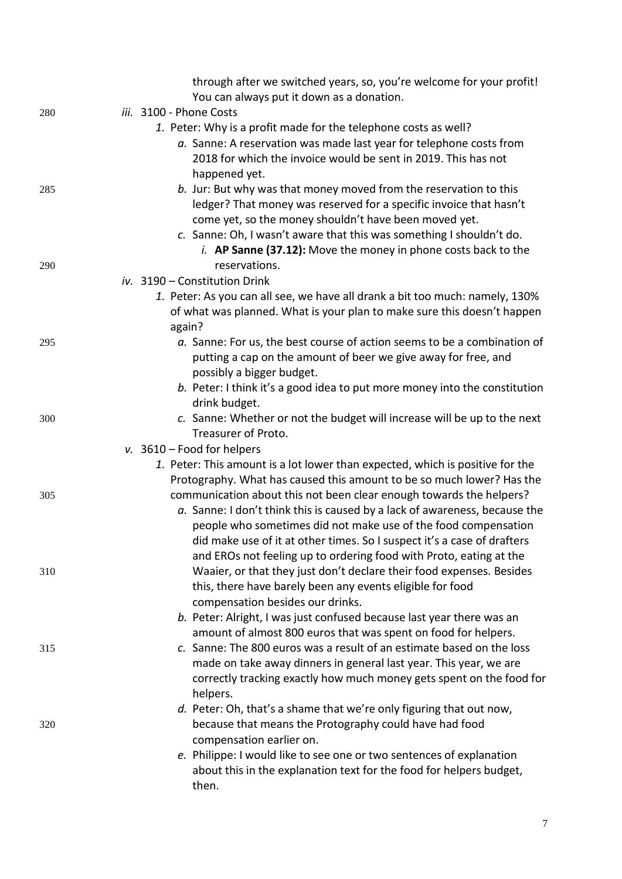|     | through after we switched years, so, you're welcome for your profit!          |
|-----|-------------------------------------------------------------------------------|
|     | You can always put it down as a donation.                                     |
| 280 | iii. 3100 - Phone Costs                                                       |
|     | 1. Peter: Why is a profit made for the telephone costs as well?               |
|     | a. Sanne: A reservation was made last year for telephone costs from           |
|     | 2018 for which the invoice would be sent in 2019. This has not                |
|     | happened yet.                                                                 |
| 285 | b. Jur: But why was that money moved from the reservation to this             |
|     | ledger? That money was reserved for a specific invoice that hasn't            |
|     | come yet, so the money shouldn't have been moved yet.                         |
|     | c. Sanne: Oh, I wasn't aware that this was something I shouldn't do.          |
|     | <i>i.</i> AP Sanne (37.12): Move the money in phone costs back to the         |
| 290 | reservations.                                                                 |
|     | iv. 3190 - Constitution Drink                                                 |
|     | 1. Peter: As you can all see, we have all drank a bit too much: namely, 130%  |
|     | of what was planned. What is your plan to make sure this doesn't happen       |
|     | again?                                                                        |
| 295 | a. Sanne: For us, the best course of action seems to be a combination of      |
|     | putting a cap on the amount of beer we give away for free, and                |
|     | possibly a bigger budget.                                                     |
|     | b. Peter: I think it's a good idea to put more money into the constitution    |
|     | drink budget.                                                                 |
| 300 | c. Sanne: Whether or not the budget will increase will be up to the next      |
|     | Treasurer of Proto.                                                           |
|     | v. $3610 -$ Food for helpers                                                  |
|     | 1. Peter: This amount is a lot lower than expected, which is positive for the |
|     | Protography. What has caused this amount to be so much lower? Has the         |
| 305 | communication about this not been clear enough towards the helpers?           |
|     | a. Sanne: I don't think this is caused by a lack of awareness, because the    |
|     | people who sometimes did not make use of the food compensation                |
|     | did make use of it at other times. So I suspect it's a case of drafters       |
|     | and EROs not feeling up to ordering food with Proto, eating at the            |
| 310 | Waaier, or that they just don't declare their food expenses. Besides          |
|     | this, there have barely been any events eligible for food                     |
|     | compensation besides our drinks.                                              |
|     | b. Peter: Alright, I was just confused because last year there was an         |
|     | amount of almost 800 euros that was spent on food for helpers.                |
| 315 | c. Sanne: The 800 euros was a result of an estimate based on the loss         |
|     | made on take away dinners in general last year. This year, we are             |
|     | correctly tracking exactly how much money gets spent on the food for          |
|     | helpers.                                                                      |
|     | d. Peter: Oh, that's a shame that we're only figuring that out now,           |
| 320 | because that means the Protography could have had food                        |
|     | compensation earlier on.                                                      |
|     | e. Philippe: I would like to see one or two sentences of explanation          |
|     | about this in the explanation text for the food for helpers budget,           |
|     | then.                                                                         |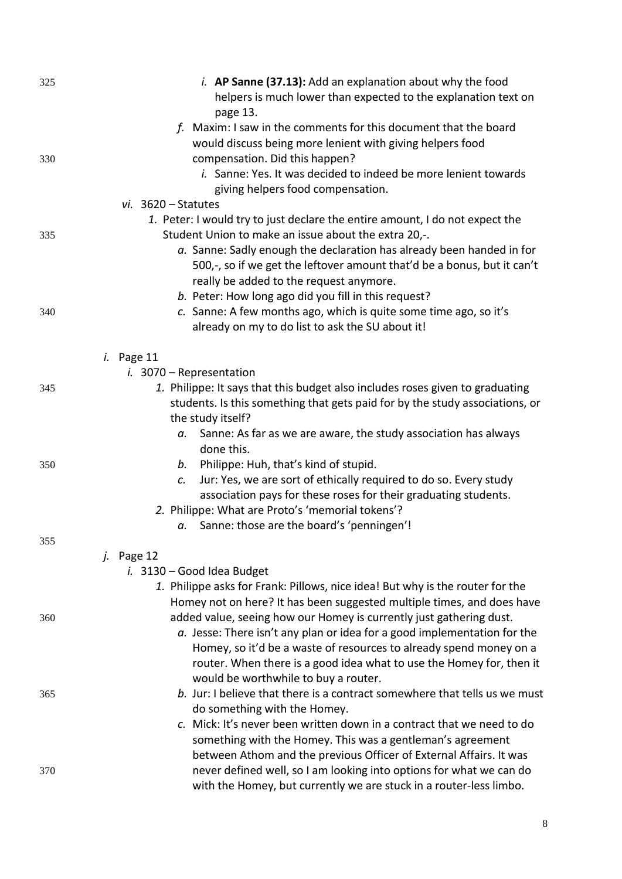| 325 | <i>i.</i> AP Sanne (37.13): Add an explanation about why the food                                                                                       |
|-----|---------------------------------------------------------------------------------------------------------------------------------------------------------|
|     | helpers is much lower than expected to the explanation text on                                                                                          |
|     | page 13.<br>f. Maxim: I saw in the comments for this document that the board                                                                            |
|     | would discuss being more lenient with giving helpers food                                                                                               |
| 330 | compensation. Did this happen?                                                                                                                          |
|     | i. Sanne: Yes. It was decided to indeed be more lenient towards                                                                                         |
|     | giving helpers food compensation.                                                                                                                       |
|     | $vi. 3620 - Statutes$                                                                                                                                   |
|     | 1. Peter: I would try to just declare the entire amount, I do not expect the                                                                            |
| 335 | Student Union to make an issue about the extra 20,-.                                                                                                    |
|     | a. Sanne: Sadly enough the declaration has already been handed in for                                                                                   |
|     | 500,-, so if we get the leftover amount that'd be a bonus, but it can't                                                                                 |
|     | really be added to the request anymore.                                                                                                                 |
|     | b. Peter: How long ago did you fill in this request?                                                                                                    |
| 340 | c. Sanne: A few months ago, which is quite some time ago, so it's                                                                                       |
|     | already on my to do list to ask the SU about it!                                                                                                        |
|     |                                                                                                                                                         |
|     | $i.$ Page 11<br>$i.$ 3070 – Representation                                                                                                              |
| 345 | 1. Philippe: It says that this budget also includes roses given to graduating                                                                           |
|     | students. Is this something that gets paid for by the study associations, or                                                                            |
|     | the study itself?                                                                                                                                       |
|     | Sanne: As far as we are aware, the study association has always<br>а.                                                                                   |
|     | done this.                                                                                                                                              |
| 350 | Philippe: Huh, that's kind of stupid.<br>b.                                                                                                             |
|     | Jur: Yes, we are sort of ethically required to do so. Every study<br>c.                                                                                 |
|     | association pays for these roses for their graduating students.                                                                                         |
|     | 2. Philippe: What are Proto's 'memorial tokens'?                                                                                                        |
|     | Sanne: those are the board's 'penningen'!<br>а.                                                                                                         |
| 355 |                                                                                                                                                         |
|     | <i>j.</i> Page 12                                                                                                                                       |
|     | $i.$ 3130 – Good Idea Budget                                                                                                                            |
|     | 1. Philippe asks for Frank: Pillows, nice idea! But why is the router for the<br>Homey not on here? It has been suggested multiple times, and does have |
| 360 | added value, seeing how our Homey is currently just gathering dust.                                                                                     |
|     | $a.$ Jesse: There isn't any plan or idea for a good implementation for the                                                                              |
|     | Homey, so it'd be a waste of resources to already spend money on a                                                                                      |
|     | router. When there is a good idea what to use the Homey for, then it                                                                                    |
|     | would be worthwhile to buy a router.                                                                                                                    |
| 365 | b. Jur: I believe that there is a contract somewhere that tells us we must                                                                              |
|     | do something with the Homey.                                                                                                                            |
|     | c. Mick: It's never been written down in a contract that we need to do                                                                                  |
|     | something with the Homey. This was a gentleman's agreement                                                                                              |
|     | between Athom and the previous Officer of External Affairs. It was                                                                                      |
| 370 | never defined well, so I am looking into options for what we can do                                                                                     |
|     | with the Homey, but currently we are stuck in a router-less limbo.                                                                                      |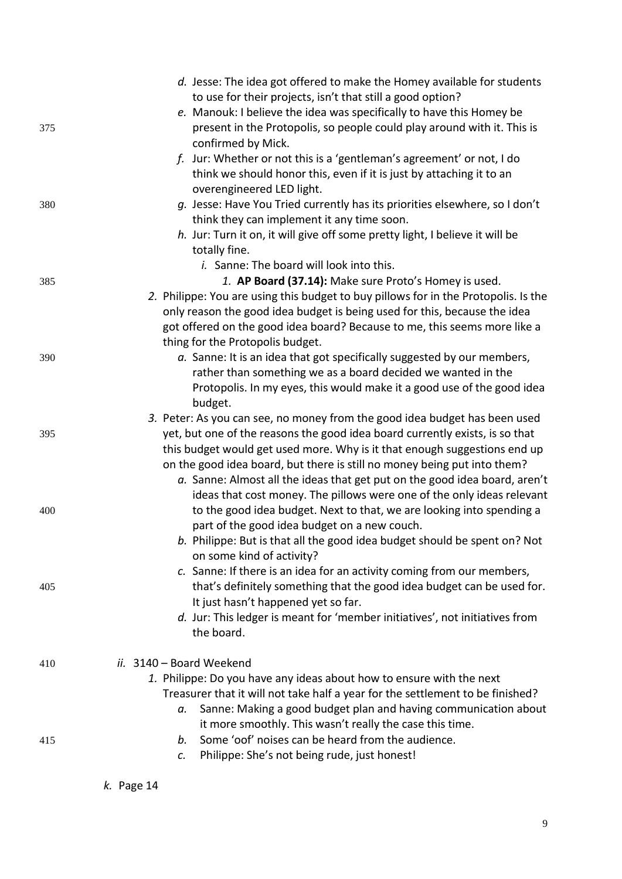|     | d. Jesse: The idea got offered to make the Homey available for students                                                                                |
|-----|--------------------------------------------------------------------------------------------------------------------------------------------------------|
|     | to use for their projects, isn't that still a good option?                                                                                             |
|     | e. Manouk: I believe the idea was specifically to have this Homey be                                                                                   |
| 375 | present in the Protopolis, so people could play around with it. This is<br>confirmed by Mick.                                                          |
|     | f. Jur: Whether or not this is a 'gentleman's agreement' or not, I do                                                                                  |
|     | think we should honor this, even if it is just by attaching it to an<br>overengineered LED light.                                                      |
| 380 | g. Jesse: Have You Tried currently has its priorities elsewhere, so I don't                                                                            |
|     | think they can implement it any time soon.                                                                                                             |
|     | h. Jur: Turn it on, it will give off some pretty light, I believe it will be                                                                           |
|     | totally fine.                                                                                                                                          |
|     | <i>i.</i> Sanne: The board will look into this.                                                                                                        |
| 385 | 1. AP Board (37.14): Make sure Proto's Homey is used.                                                                                                  |
|     | 2. Philippe: You are using this budget to buy pillows for in the Protopolis. Is the                                                                    |
|     | only reason the good idea budget is being used for this, because the idea                                                                              |
|     | got offered on the good idea board? Because to me, this seems more like a                                                                              |
|     | thing for the Protopolis budget.                                                                                                                       |
| 390 | a. Sanne: It is an idea that got specifically suggested by our members,                                                                                |
|     | rather than something we as a board decided we wanted in the                                                                                           |
|     | Protopolis. In my eyes, this would make it a good use of the good idea                                                                                 |
|     | budget.                                                                                                                                                |
|     | 3. Peter: As you can see, no money from the good idea budget has been used                                                                             |
| 395 | yet, but one of the reasons the good idea board currently exists, is so that                                                                           |
|     | this budget would get used more. Why is it that enough suggestions end up                                                                              |
|     | on the good idea board, but there is still no money being put into them?<br>a. Sanne: Almost all the ideas that get put on the good idea board, aren't |
|     | ideas that cost money. The pillows were one of the only ideas relevant                                                                                 |
| 400 | to the good idea budget. Next to that, we are looking into spending a                                                                                  |
|     | part of the good idea budget on a new couch.                                                                                                           |
|     | b. Philippe: But is that all the good idea budget should be spent on? Not                                                                              |
|     | on some kind of activity?                                                                                                                              |
|     | c. Sanne: If there is an idea for an activity coming from our members,                                                                                 |
| 405 | that's definitely something that the good idea budget can be used for.                                                                                 |
|     | It just hasn't happened yet so far.                                                                                                                    |
|     | d. Jur: This ledger is meant for 'member initiatives', not initiatives from                                                                            |
|     | the board.                                                                                                                                             |
| 410 | ii. 3140 - Board Weekend                                                                                                                               |
|     | 1. Philippe: Do you have any ideas about how to ensure with the next                                                                                   |
|     | Treasurer that it will not take half a year for the settlement to be finished?                                                                         |
|     | Sanne: Making a good budget plan and having communication about<br>a.                                                                                  |
|     | it more smoothly. This wasn't really the case this time.                                                                                               |
| 415 | Some 'oof' noises can be heard from the audience.<br>b.                                                                                                |
|     | Philippe: She's not being rude, just honest!<br>$\mathcal{C}$ .                                                                                        |
|     |                                                                                                                                                        |

*k.* Page 14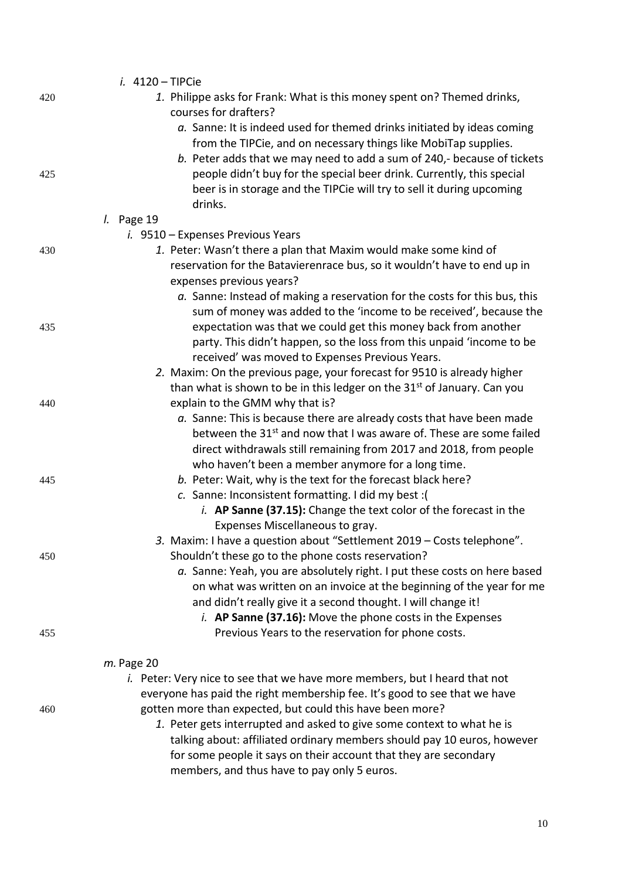|     | $i.$ 4120 - TIPCie                                                                                                              |
|-----|---------------------------------------------------------------------------------------------------------------------------------|
| 420 | 1. Philippe asks for Frank: What is this money spent on? Themed drinks,                                                         |
|     | courses for drafters?                                                                                                           |
|     | a. Sanne: It is indeed used for themed drinks initiated by ideas coming                                                         |
|     | from the TIPCie, and on necessary things like MobiTap supplies.                                                                 |
|     | b. Peter adds that we may need to add a sum of 240,- because of tickets                                                         |
| 425 | people didn't buy for the special beer drink. Currently, this special                                                           |
|     | beer is in storage and the TIPCie will try to sell it during upcoming                                                           |
|     | drinks.                                                                                                                         |
|     | $l.$ Page 19                                                                                                                    |
|     | i. 9510 - Expenses Previous Years                                                                                               |
| 430 | 1. Peter: Wasn't there a plan that Maxim would make some kind of                                                                |
|     | reservation for the Batavierenrace bus, so it wouldn't have to end up in                                                        |
|     | expenses previous years?<br>a. Sanne: Instead of making a reservation for the costs for this bus, this                          |
|     | sum of money was added to the 'income to be received', because the                                                              |
| 435 | expectation was that we could get this money back from another                                                                  |
|     | party. This didn't happen, so the loss from this unpaid 'income to be                                                           |
|     | received' was moved to Expenses Previous Years.                                                                                 |
|     | 2. Maxim: On the previous page, your forecast for 9510 is already higher                                                        |
|     | than what is shown to be in this ledger on the 31 <sup>st</sup> of January. Can you                                             |
| 440 | explain to the GMM why that is?                                                                                                 |
|     | a. Sanne: This is because there are already costs that have been made                                                           |
|     | between the 31 <sup>st</sup> and now that I was aware of. These are some failed                                                 |
|     | direct withdrawals still remaining from 2017 and 2018, from people                                                              |
|     | who haven't been a member anymore for a long time.                                                                              |
| 445 | b. Peter: Wait, why is the text for the forecast black here?                                                                    |
|     | c. Sanne: Inconsistent formatting. I did my best : (                                                                            |
|     | i. AP Sanne (37.15): Change the text color of the forecast in the                                                               |
|     | Expenses Miscellaneous to gray.                                                                                                 |
|     | 3. Maxim: I have a question about "Settlement 2019 - Costs telephone".                                                          |
| 450 | Shouldn't these go to the phone costs reservation?<br>a. Sanne: Yeah, you are absolutely right. I put these costs on here based |
|     | on what was written on an invoice at the beginning of the year for me                                                           |
|     | and didn't really give it a second thought. I will change it!                                                                   |
|     | <i>i.</i> AP Sanne (37.16): Move the phone costs in the Expenses                                                                |
| 455 | Previous Years to the reservation for phone costs.                                                                              |
|     |                                                                                                                                 |
|     | $m.$ Page 20                                                                                                                    |
|     | i. Peter: Very nice to see that we have more members, but I heard that not                                                      |
|     | everyone has paid the right membership fee. It's good to see that we have                                                       |
| 460 | gotten more than expected, but could this have been more?                                                                       |
|     | 1. Peter gets interrupted and asked to give some context to what he is                                                          |
|     | talking about: affiliated ordinary members should pay 10 euros, however                                                         |
|     | for some people it says on their account that they are secondary                                                                |
|     | members, and thus have to pay only 5 euros.                                                                                     |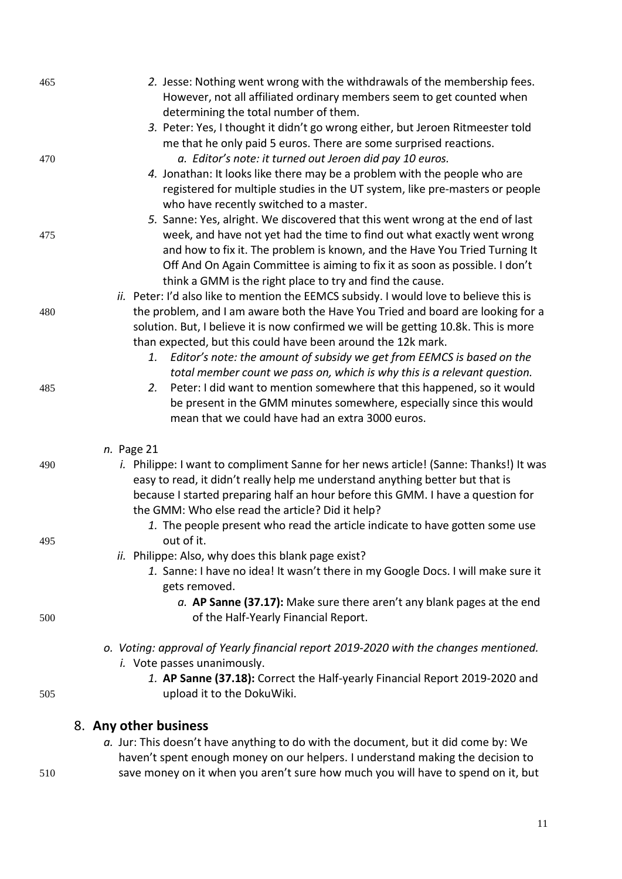| 465 | 2. Jesse: Nothing went wrong with the withdrawals of the membership fees.<br>However, not all affiliated ordinary members seem to get counted when<br>determining the total number of them. |
|-----|---------------------------------------------------------------------------------------------------------------------------------------------------------------------------------------------|
|     | 3. Peter: Yes, I thought it didn't go wrong either, but Jeroen Ritmeester told                                                                                                              |
|     | me that he only paid 5 euros. There are some surprised reactions.                                                                                                                           |
| 470 | a. Editor's note: it turned out Jeroen did pay 10 euros.                                                                                                                                    |
|     | 4. Jonathan: It looks like there may be a problem with the people who are                                                                                                                   |
|     | registered for multiple studies in the UT system, like pre-masters or people<br>who have recently switched to a master.                                                                     |
|     | 5. Sanne: Yes, alright. We discovered that this went wrong at the end of last                                                                                                               |
| 475 | week, and have not yet had the time to find out what exactly went wrong                                                                                                                     |
|     | and how to fix it. The problem is known, and the Have You Tried Turning It                                                                                                                  |
|     | Off And On Again Committee is aiming to fix it as soon as possible. I don't                                                                                                                 |
|     | think a GMM is the right place to try and find the cause.                                                                                                                                   |
|     | ii. Peter: I'd also like to mention the EEMCS subsidy. I would love to believe this is                                                                                                      |
| 480 | the problem, and I am aware both the Have You Tried and board are looking for a                                                                                                             |
|     | solution. But, I believe it is now confirmed we will be getting 10.8k. This is more                                                                                                         |
|     | than expected, but this could have been around the 12k mark.                                                                                                                                |
|     | Editor's note: the amount of subsidy we get from EEMCS is based on the<br>1.                                                                                                                |
|     | total member count we pass on, which is why this is a relevant question.                                                                                                                    |
| 485 | Peter: I did want to mention somewhere that this happened, so it would<br>2.                                                                                                                |
|     | be present in the GMM minutes somewhere, especially since this would                                                                                                                        |
|     | mean that we could have had an extra 3000 euros.                                                                                                                                            |
|     | n. Page 21                                                                                                                                                                                  |
| 490 | <i>i.</i> Philippe: I want to compliment Sanne for her news article! (Sanne: Thanks!) It was                                                                                                |
|     | easy to read, it didn't really help me understand anything better but that is                                                                                                               |
|     | because I started preparing half an hour before this GMM. I have a question for                                                                                                             |
|     | the GMM: Who else read the article? Did it help?                                                                                                                                            |
|     | 1. The people present who read the article indicate to have gotten some use                                                                                                                 |
| 495 | out of it.                                                                                                                                                                                  |
|     | <i>ii.</i> Philippe: Also, why does this blank page exist?                                                                                                                                  |
|     | 1. Sanne: I have no idea! It wasn't there in my Google Docs. I will make sure it                                                                                                            |
|     | gets removed.                                                                                                                                                                               |
|     | $a.$ AP Sanne (37.17): Make sure there aren't any blank pages at the end                                                                                                                    |
| 500 | of the Half-Yearly Financial Report.                                                                                                                                                        |
|     | o. Voting: approval of Yearly financial report 2019-2020 with the changes mentioned.                                                                                                        |
|     | i. Vote passes unanimously.                                                                                                                                                                 |
|     | 1. AP Sanne (37.18): Correct the Half-yearly Financial Report 2019-2020 and                                                                                                                 |
| 505 | upload it to the DokuWiki.                                                                                                                                                                  |
|     | 8. Any other business                                                                                                                                                                       |
|     | a. Jur: This doesn't have anything to do with the document, but it did come by: We                                                                                                          |
|     |                                                                                                                                                                                             |

haven't spent enough money on our helpers. I understand making the decision to 510 save money on it when you aren't sure how much you will have to spend on it, but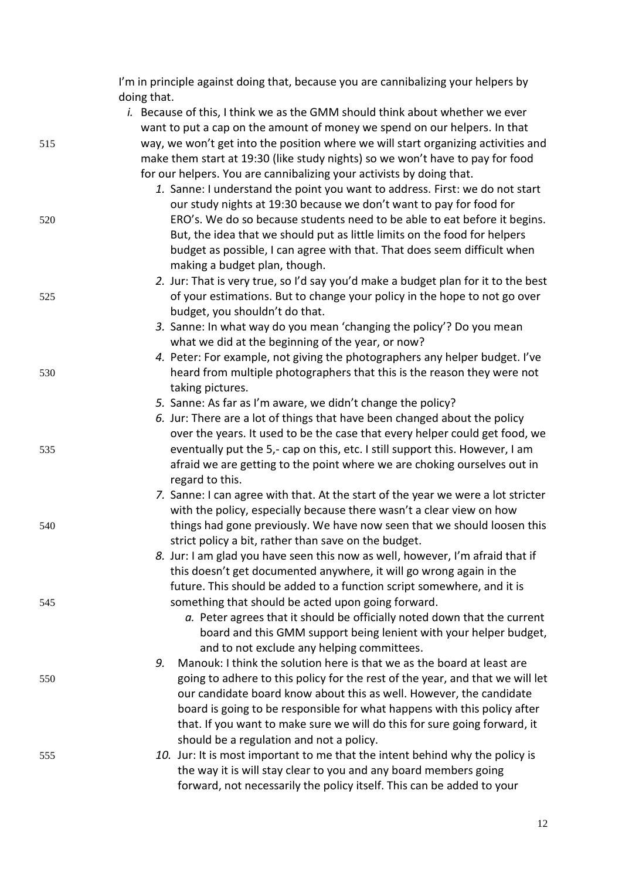|     | I'm in principle against doing that, because you are cannibalizing your helpers by                                                                  |
|-----|-----------------------------------------------------------------------------------------------------------------------------------------------------|
|     | doing that.                                                                                                                                         |
|     | i. Because of this, I think we as the GMM should think about whether we ever                                                                        |
|     | want to put a cap on the amount of money we spend on our helpers. In that                                                                           |
| 515 | way, we won't get into the position where we will start organizing activities and                                                                   |
|     | make them start at 19:30 (like study nights) so we won't have to pay for food                                                                       |
|     | for our helpers. You are cannibalizing your activists by doing that.                                                                                |
|     | 1. Sanne: I understand the point you want to address. First: we do not start<br>our study nights at 19:30 because we don't want to pay for food for |
| 520 | ERO's. We do so because students need to be able to eat before it begins.                                                                           |
|     | But, the idea that we should put as little limits on the food for helpers                                                                           |
|     | budget as possible, I can agree with that. That does seem difficult when                                                                            |
|     | making a budget plan, though.                                                                                                                       |
|     | 2. Jur: That is very true, so I'd say you'd make a budget plan for it to the best                                                                   |
| 525 | of your estimations. But to change your policy in the hope to not go over                                                                           |
|     | budget, you shouldn't do that.                                                                                                                      |
|     | 3. Sanne: In what way do you mean 'changing the policy'? Do you mean                                                                                |
|     | what we did at the beginning of the year, or now?                                                                                                   |
|     | 4. Peter: For example, not giving the photographers any helper budget. I've                                                                         |
| 530 | heard from multiple photographers that this is the reason they were not                                                                             |
|     | taking pictures.                                                                                                                                    |
|     | 5. Sanne: As far as I'm aware, we didn't change the policy?                                                                                         |
|     | 6. Jur: There are a lot of things that have been changed about the policy                                                                           |
|     | over the years. It used to be the case that every helper could get food, we                                                                         |
| 535 | eventually put the 5,- cap on this, etc. I still support this. However, I am                                                                        |
|     | afraid we are getting to the point where we are choking ourselves out in                                                                            |
|     | regard to this.<br>7. Sanne: I can agree with that. At the start of the year we were a lot stricter                                                 |
|     | with the policy, especially because there wasn't a clear view on how                                                                                |
| 540 | things had gone previously. We have now seen that we should loosen this                                                                             |
|     | strict policy a bit, rather than save on the budget.                                                                                                |
|     | 8. Jur: I am glad you have seen this now as well, however, I'm afraid that if                                                                       |
|     | this doesn't get documented anywhere, it will go wrong again in the                                                                                 |
|     | future. This should be added to a function script somewhere, and it is                                                                              |
| 545 | something that should be acted upon going forward.                                                                                                  |
|     | a. Peter agrees that it should be officially noted down that the current                                                                            |
|     | board and this GMM support being lenient with your helper budget,                                                                                   |
|     | and to not exclude any helping committees.                                                                                                          |
|     | Manouk: I think the solution here is that we as the board at least are<br>9.                                                                        |
| 550 | going to adhere to this policy for the rest of the year, and that we will let                                                                       |
|     | our candidate board know about this as well. However, the candidate                                                                                 |
|     | board is going to be responsible for what happens with this policy after                                                                            |
|     | that. If you want to make sure we will do this for sure going forward, it<br>should be a regulation and not a policy.                               |
| 555 | 10. Jur: It is most important to me that the intent behind why the policy is                                                                        |
|     | the way it is will stay clear to you and any board members going                                                                                    |
|     | forward, not necessarily the policy itself. This can be added to your                                                                               |
|     |                                                                                                                                                     |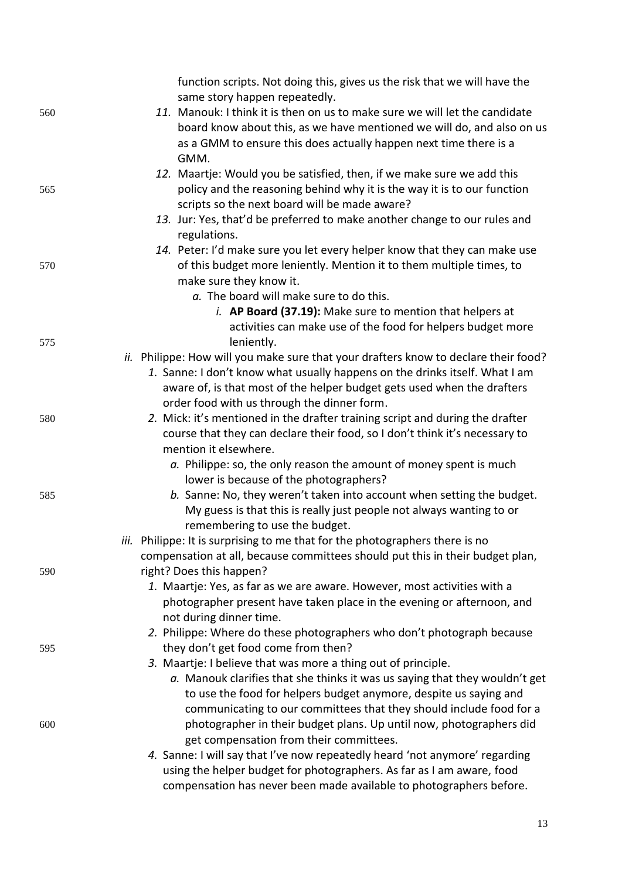|     | function scripts. Not doing this, gives us the risk that we will have the<br>same story happen repeatedly.                                     |  |
|-----|------------------------------------------------------------------------------------------------------------------------------------------------|--|
| 560 | 11. Manouk: I think it is then on us to make sure we will let the candidate                                                                    |  |
|     | board know about this, as we have mentioned we will do, and also on us                                                                         |  |
|     | as a GMM to ensure this does actually happen next time there is a                                                                              |  |
|     | GMM.                                                                                                                                           |  |
|     | 12. Maartje: Would you be satisfied, then, if we make sure we add this                                                                         |  |
| 565 | policy and the reasoning behind why it is the way it is to our function                                                                        |  |
|     | scripts so the next board will be made aware?                                                                                                  |  |
|     | 13. Jur: Yes, that'd be preferred to make another change to our rules and                                                                      |  |
|     | regulations.                                                                                                                                   |  |
|     | 14. Peter: I'd make sure you let every helper know that they can make use                                                                      |  |
| 570 | of this budget more leniently. Mention it to them multiple times, to                                                                           |  |
|     | make sure they know it.                                                                                                                        |  |
|     | a. The board will make sure to do this.                                                                                                        |  |
|     | i. AP Board (37.19): Make sure to mention that helpers at                                                                                      |  |
|     | activities can make use of the food for helpers budget more                                                                                    |  |
| 575 | leniently.                                                                                                                                     |  |
|     | ii. Philippe: How will you make sure that your drafters know to declare their food?                                                            |  |
|     | 1. Sanne: I don't know what usually happens on the drinks itself. What I am                                                                    |  |
|     | aware of, is that most of the helper budget gets used when the drafters                                                                        |  |
|     | order food with us through the dinner form.                                                                                                    |  |
| 580 | 2. Mick: it's mentioned in the drafter training script and during the drafter                                                                  |  |
|     | course that they can declare their food, so I don't think it's necessary to                                                                    |  |
|     | mention it elsewhere.                                                                                                                          |  |
|     | a. Philippe: so, the only reason the amount of money spent is much                                                                             |  |
|     | lower is because of the photographers?                                                                                                         |  |
| 585 | b. Sanne: No, they weren't taken into account when setting the budget.<br>My guess is that this is really just people not always wanting to or |  |
|     | remembering to use the budget.                                                                                                                 |  |
|     | iii. Philippe: It is surprising to me that for the photographers there is no                                                                   |  |
|     | compensation at all, because committees should put this in their budget plan,                                                                  |  |
| 590 | right? Does this happen?                                                                                                                       |  |
|     | 1. Maartje: Yes, as far as we are aware. However, most activities with a                                                                       |  |
|     | photographer present have taken place in the evening or afternoon, and                                                                         |  |
|     | not during dinner time.                                                                                                                        |  |
|     | 2. Philippe: Where do these photographers who don't photograph because                                                                         |  |
| 595 | they don't get food come from then?                                                                                                            |  |
|     | 3. Maartje: I believe that was more a thing out of principle.                                                                                  |  |
|     | a. Manouk clarifies that she thinks it was us saying that they wouldn't get                                                                    |  |
|     | to use the food for helpers budget anymore, despite us saying and                                                                              |  |
|     | communicating to our committees that they should include food for a                                                                            |  |
| 600 | photographer in their budget plans. Up until now, photographers did                                                                            |  |
|     | get compensation from their committees.                                                                                                        |  |
|     | 4. Sanne: I will say that I've now repeatedly heard 'not anymore' regarding                                                                    |  |
|     | using the helper budget for photographers. As far as I am aware, food                                                                          |  |
|     | compensation has never been made available to photographers before.                                                                            |  |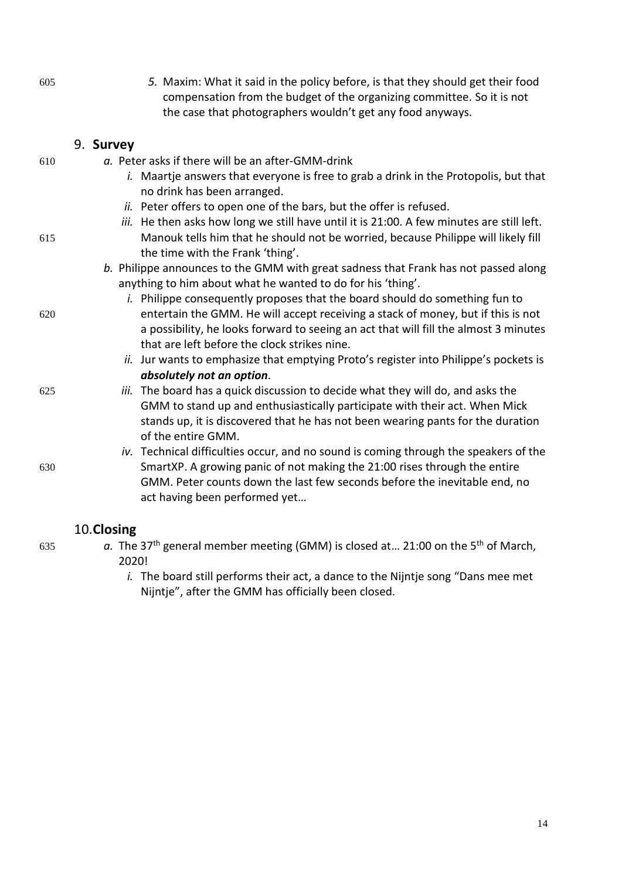| 605 | 5. Maxim: What it said in the policy before, is that they should get their food<br>compensation from the budget of the organizing committee. So it is not<br>the case that photographers wouldn't get any food anyways. |
|-----|-------------------------------------------------------------------------------------------------------------------------------------------------------------------------------------------------------------------------|
|     | 9. Survey                                                                                                                                                                                                               |
| 610 | a. Peter asks if there will be an after-GMM-drink                                                                                                                                                                       |
|     | i. Maartje answers that everyone is free to grab a drink in the Protopolis, but that<br>no drink has been arranged.                                                                                                     |
|     | ii. Peter offers to open one of the bars, but the offer is refused.                                                                                                                                                     |
|     | iii. He then asks how long we still have until it is 21:00. A few minutes are still left.                                                                                                                               |
| 615 | Manouk tells him that he should not be worried, because Philippe will likely fill<br>the time with the Frank 'thing'.                                                                                                   |
|     | b. Philippe announces to the GMM with great sadness that Frank has not passed along                                                                                                                                     |
|     | anything to him about what he wanted to do for his 'thing'.                                                                                                                                                             |
|     | <i>i.</i> Philippe consequently proposes that the board should do something fun to                                                                                                                                      |
| 620 | entertain the GMM. He will accept receiving a stack of money, but if this is not                                                                                                                                        |
|     | a possibility, he looks forward to seeing an act that will fill the almost 3 minutes<br>that are left before the clock strikes nine.                                                                                    |
|     | ii. Jur wants to emphasize that emptying Proto's register into Philippe's pockets is                                                                                                                                    |
|     | absolutely not an option.                                                                                                                                                                                               |
| 625 | iii. The board has a quick discussion to decide what they will do, and asks the                                                                                                                                         |
|     | GMM to stand up and enthusiastically participate with their act. When Mick                                                                                                                                              |
|     | stands up, it is discovered that he has not been wearing pants for the duration<br>of the entire GMM.                                                                                                                   |
|     | iv. Technical difficulties occur, and no sound is coming through the speakers of the                                                                                                                                    |
| 630 | SmartXP. A growing panic of not making the 21:00 rises through the entire                                                                                                                                               |
|     | GMM. Peter counts down the last few seconds before the inevitable end, no                                                                                                                                               |
|     | act having been performed yet                                                                                                                                                                                           |
|     |                                                                                                                                                                                                                         |

# 10.**Closing**

- $a.$  The 37<sup>th</sup> general member meeting (GMM) is closed at... 21:00 on the 5<sup>th</sup> of March, 2020!
	- *i.* The board still performs their act, a dance to the Nijntje song "Dans mee met Nijntje", after the GMM has officially been closed.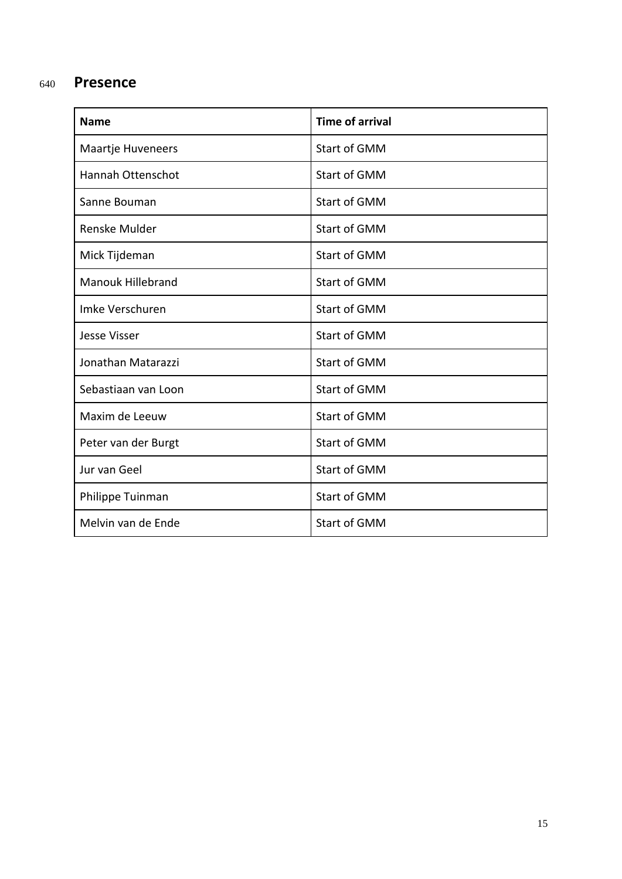# <sup>640</sup> **Presence**

| <b>Name</b>              | <b>Time of arrival</b> |  |
|--------------------------|------------------------|--|
| <b>Maartje Huveneers</b> | Start of GMM           |  |
| <b>Hannah Ottenschot</b> | <b>Start of GMM</b>    |  |
| Sanne Bouman             | Start of GMM           |  |
| Renske Mulder            | Start of GMM           |  |
| Mick Tijdeman            | <b>Start of GMM</b>    |  |
| <b>Manouk Hillebrand</b> | <b>Start of GMM</b>    |  |
| Imke Verschuren          | <b>Start of GMM</b>    |  |
| <b>Jesse Visser</b>      | <b>Start of GMM</b>    |  |
| Jonathan Matarazzi       | <b>Start of GMM</b>    |  |
| Sebastiaan van Loon      | <b>Start of GMM</b>    |  |
| Maxim de Leeuw           | <b>Start of GMM</b>    |  |
| Peter van der Burgt      | Start of GMM           |  |
| Jur van Geel             | Start of GMM           |  |
| Philippe Tuinman         | Start of GMM           |  |
| Melvin van de Ende       | Start of GMM           |  |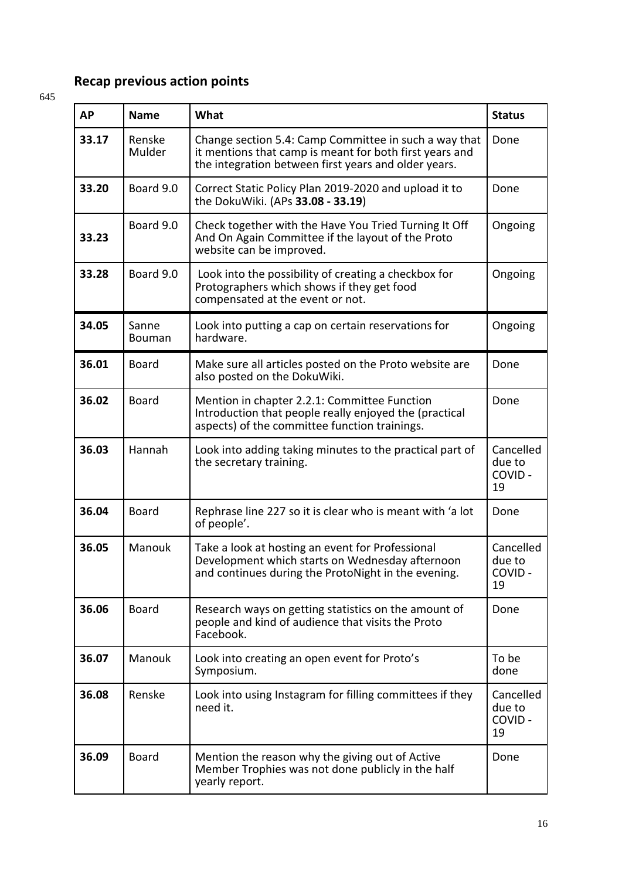# **Recap previous action points**

645

| <b>AP</b> | <b>Name</b>      | What                                                                                                                                                                     | <b>Status</b>                       |
|-----------|------------------|--------------------------------------------------------------------------------------------------------------------------------------------------------------------------|-------------------------------------|
| 33.17     | Renske<br>Mulder | Change section 5.4: Camp Committee in such a way that<br>it mentions that camp is meant for both first years and<br>the integration between first years and older years. | Done                                |
| 33.20     | Board 9.0        | Correct Static Policy Plan 2019-2020 and upload it to<br>the DokuWiki. (APs 33.08 - 33.19)                                                                               | Done                                |
| 33.23     | Board 9.0        | Check together with the Have You Tried Turning It Off<br>And On Again Committee if the layout of the Proto<br>website can be improved.                                   | Ongoing                             |
| 33.28     | Board 9.0        | Look into the possibility of creating a checkbox for<br>Protographers which shows if they get food<br>compensated at the event or not.                                   | Ongoing                             |
| 34.05     | Sanne<br>Bouman  | Look into putting a cap on certain reservations for<br>hardware.                                                                                                         | Ongoing                             |
| 36.01     | <b>Board</b>     | Make sure all articles posted on the Proto website are<br>also posted on the DokuWiki.                                                                                   | Done                                |
| 36.02     | <b>Board</b>     | Mention in chapter 2.2.1: Committee Function<br>Introduction that people really enjoyed the (practical<br>aspects) of the committee function trainings.                  | Done                                |
| 36.03     | Hannah           | Look into adding taking minutes to the practical part of<br>the secretary training.                                                                                      | Cancelled<br>due to<br>COVID-<br>19 |
| 36.04     | <b>Board</b>     | Rephrase line 227 so it is clear who is meant with 'a lot<br>of people'.                                                                                                 | Done                                |
| 36.05     | Manouk           | Take a look at hosting an event for Professional<br>Development which starts on Wednesday afternoon<br>and continues during the ProtoNight in the evening.               | Cancelled<br>due to<br>COVID-<br>19 |
| 36.06     | <b>Board</b>     | Research ways on getting statistics on the amount of<br>people and kind of audience that visits the Proto<br>Facebook.                                                   | Done                                |
| 36.07     | Manouk           | Look into creating an open event for Proto's<br>Symposium.                                                                                                               | To be<br>done                       |
| 36.08     | Renske           | Look into using Instagram for filling committees if they<br>need it.                                                                                                     | Cancelled<br>due to<br>COVID-<br>19 |
| 36.09     | <b>Board</b>     | Mention the reason why the giving out of Active<br>Member Trophies was not done publicly in the half<br>yearly report.                                                   | Done                                |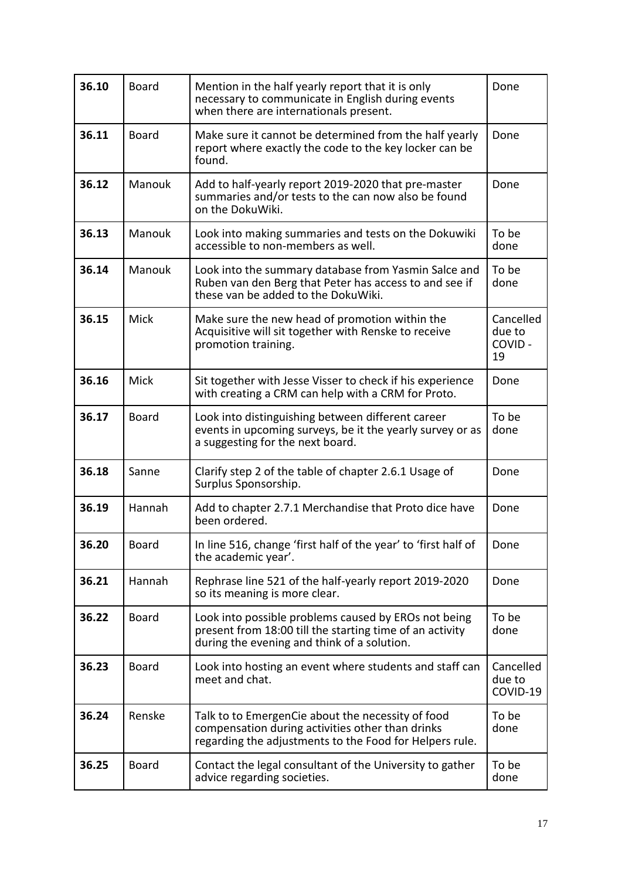| 36.10 | <b>Board</b> | Mention in the half yearly report that it is only<br>necessary to communicate in English during events<br>when there are internationals present.                 | Done                                |
|-------|--------------|------------------------------------------------------------------------------------------------------------------------------------------------------------------|-------------------------------------|
| 36.11 | <b>Board</b> | Make sure it cannot be determined from the half yearly<br>report where exactly the code to the key locker can be<br>found.                                       | Done                                |
| 36.12 | Manouk       | Add to half-yearly report 2019-2020 that pre-master<br>summaries and/or tests to the can now also be found<br>on the DokuWiki.                                   | Done                                |
| 36.13 | Manouk       | Look into making summaries and tests on the Dokuwiki<br>accessible to non-members as well.                                                                       | To be<br>done                       |
| 36.14 | Manouk       | Look into the summary database from Yasmin Salce and<br>Ruben van den Berg that Peter has access to and see if<br>these van be added to the DokuWiki.            | To be<br>done                       |
| 36.15 | <b>Mick</b>  | Make sure the new head of promotion within the<br>Acquisitive will sit together with Renske to receive<br>promotion training.                                    | Cancelled<br>due to<br>COVID-<br>19 |
| 36.16 | Mick         | Sit together with Jesse Visser to check if his experience<br>with creating a CRM can help with a CRM for Proto.                                                  | Done                                |
| 36.17 | <b>Board</b> | Look into distinguishing between different career<br>events in upcoming surveys, be it the yearly survey or as<br>a suggesting for the next board.               | To be<br>done                       |
| 36.18 | Sanne        | Clarify step 2 of the table of chapter 2.6.1 Usage of<br>Surplus Sponsorship.                                                                                    | Done                                |
| 36.19 | Hannah       | Add to chapter 2.7.1 Merchandise that Proto dice have<br>been ordered.                                                                                           | Done                                |
| 36.20 | Board        | In line 516, change 'first half of the year' to 'first half of<br>the academic year'.                                                                            | Done                                |
| 36.21 | Hannah       | Rephrase line 521 of the half-yearly report 2019-2020<br>so its meaning is more clear.                                                                           | Done                                |
| 36.22 | <b>Board</b> | Look into possible problems caused by EROs not being<br>present from 18:00 till the starting time of an activity<br>during the evening and think of a solution.  | To be<br>done                       |
| 36.23 | <b>Board</b> | Look into hosting an event where students and staff can<br>meet and chat.                                                                                        | Cancelled<br>due to<br>COVID-19     |
| 36.24 | Renske       | Talk to to EmergenCie about the necessity of food<br>compensation during activities other than drinks<br>regarding the adjustments to the Food for Helpers rule. | To be<br>done                       |
| 36.25 | <b>Board</b> | Contact the legal consultant of the University to gather<br>advice regarding societies.                                                                          | To be<br>done                       |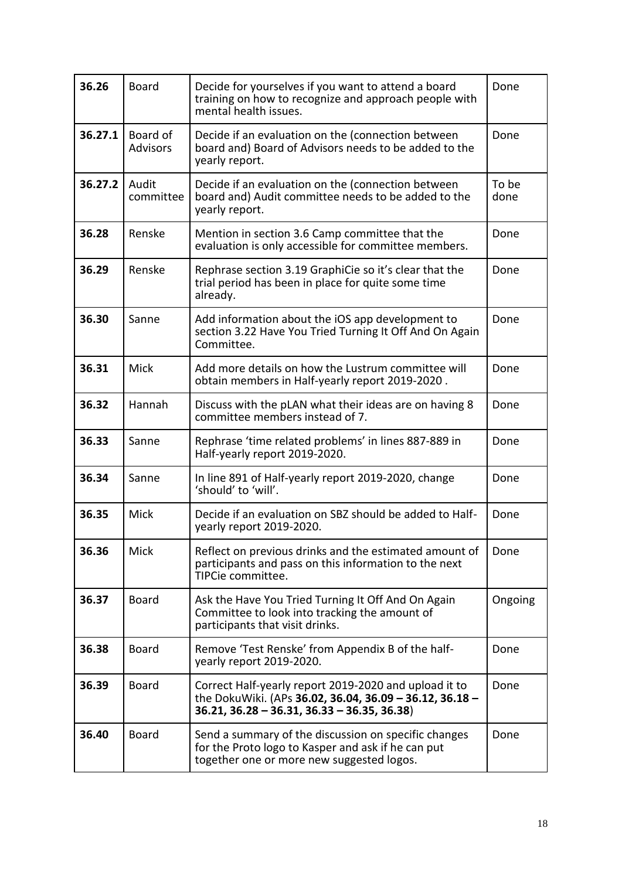| 36.26   | <b>Board</b>                | Decide for yourselves if you want to attend a board<br>training on how to recognize and approach people with<br>mental health issues.                            | Done          |
|---------|-----------------------------|------------------------------------------------------------------------------------------------------------------------------------------------------------------|---------------|
| 36.27.1 | Board of<br><b>Advisors</b> | Decide if an evaluation on the (connection between<br>board and) Board of Advisors needs to be added to the<br>yearly report.                                    | Done          |
| 36.27.2 | Audit<br>committee          | Decide if an evaluation on the (connection between<br>board and) Audit committee needs to be added to the<br>yearly report.                                      | To be<br>done |
| 36.28   | Renske                      | Mention in section 3.6 Camp committee that the<br>evaluation is only accessible for committee members.                                                           | Done          |
| 36.29   | Renske                      | Rephrase section 3.19 GraphiCie so it's clear that the<br>trial period has been in place for quite some time<br>already.                                         | Done          |
| 36.30   | Sanne                       | Add information about the iOS app development to<br>section 3.22 Have You Tried Turning It Off And On Again<br>Committee.                                        | Done          |
| 36.31   | <b>Mick</b>                 | Add more details on how the Lustrum committee will<br>obtain members in Half-yearly report 2019-2020.                                                            | Done          |
| 36.32   | Hannah                      | Discuss with the pLAN what their ideas are on having 8<br>committee members instead of 7.                                                                        | Done          |
| 36.33   | Sanne                       | Rephrase 'time related problems' in lines 887-889 in<br>Half-yearly report 2019-2020.                                                                            | Done          |
| 36.34   | Sanne                       | In line 891 of Half-yearly report 2019-2020, change<br>'should' to 'will'.                                                                                       | Done          |
| 36.35   | Mick                        | Decide if an evaluation on SBZ should be added to Half-<br>yearly report 2019-2020.                                                                              | Done          |
| 36.36   | Mick                        | Reflect on previous drinks and the estimated amount of<br>participants and pass on this information to the next<br>TIPCie committee.                             | Done          |
| 36.37   | <b>Board</b>                | Ask the Have You Tried Turning It Off And On Again<br>Committee to look into tracking the amount of<br>participants that visit drinks.                           | Ongoing       |
| 36.38   | <b>Board</b>                | Remove 'Test Renske' from Appendix B of the half-<br>yearly report 2019-2020.                                                                                    | Done          |
| 36.39   | <b>Board</b>                | Correct Half-yearly report 2019-2020 and upload it to<br>the DokuWiki. (APs 36.02, 36.04, 36.09 - 36.12, 36.18 -<br>$36.21, 36.28 - 36.31, 36.33 - 36.35, 36.38$ | Done          |
| 36.40   | <b>Board</b>                | Send a summary of the discussion on specific changes<br>for the Proto logo to Kasper and ask if he can put<br>together one or more new suggested logos.          | Done          |